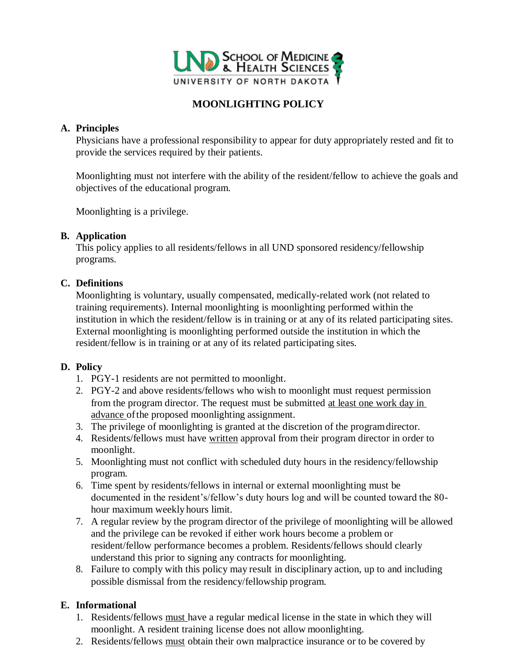

# **MOONLIGHTING POLICY**

### **A. Principles**

Physicians have a professional responsibility to appear for duty appropriately rested and fit to provide the services required by their patients.

Moonlighting must not interfere with the ability of the resident/fellow to achieve the goals and objectives of the educational program.

Moonlighting is a privilege.

#### **B. Application**

This policy applies to all residents/fellows in all UND sponsored residency/fellowship programs.

#### **C. Definitions**

Moonlighting is voluntary, usually compensated, medically-related work (not related to training requirements). Internal moonlighting is moonlighting performed within the institution in which the resident/fellow is in training or at any of its related participating sites. External moonlighting is moonlighting performed outside the institution in which the resident/fellow is in training or at any of its related participating sites.

## **D. Policy**

- 1. PGY-1 residents are not permitted to moonlight.
- 2. PGY-2 and above residents/fellows who wish to moonlight must request permission from the program director. The request must be submitted at least one work day in advance ofthe proposed moonlighting assignment.
- 3. The privilege of moonlighting is granted at the discretion of the programdirector.
- 4. Residents/fellows must have written approval from their program director in order to moonlight.
- 5. Moonlighting must not conflict with scheduled duty hours in the residency/fellowship program.
- 6. Time spent by residents/fellows in internal or external moonlighting must be documented in the resident's/fellow's duty hours log and will be counted toward the 80 hour maximum weekly hours limit.
- 7. A regular review by the program director of the privilege of moonlighting will be allowed and the privilege can be revoked if either work hours become a problem or resident/fellow performance becomes a problem. Residents/fellows should clearly understand this prior to signing any contracts for moonlighting.
- 8. Failure to comply with this policy may result in disciplinary action, up to and including possible dismissal from the residency/fellowship program.

## **E. Informational**

- 1. Residents/fellows must have a regular medical license in the state in which they will moonlight. A resident training license does not allow moonlighting.
- 2. Residents/fellows must obtain their own malpractice insurance or to be covered by